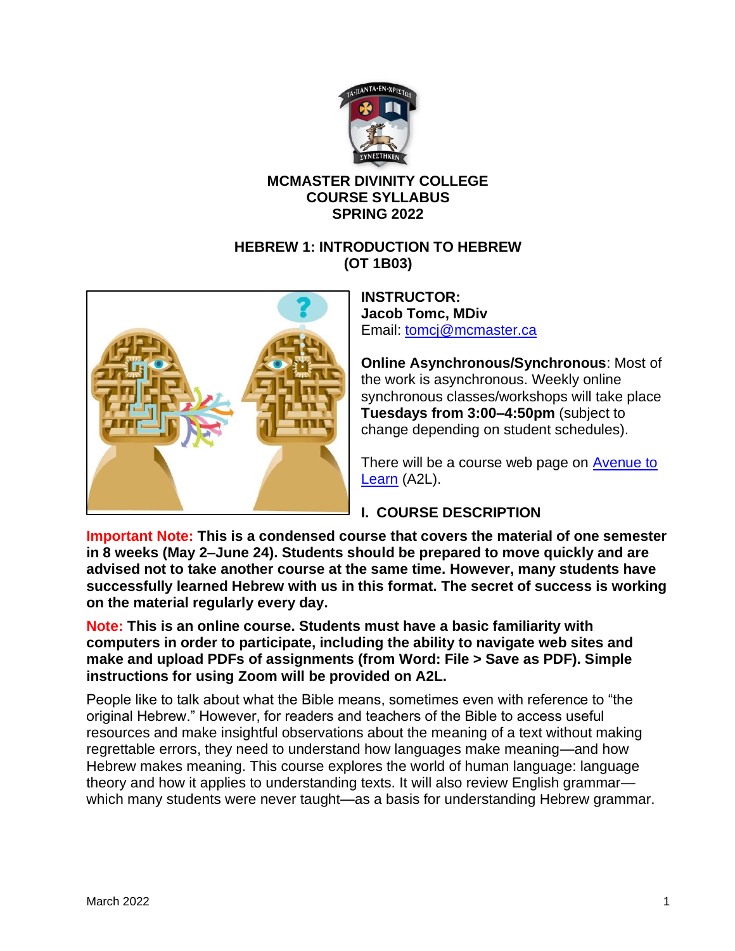

# **MCMASTER DIVINITY COLLEGE COURSE SYLLABUS SPRING 2022**

## **HEBREW 1: INTRODUCTION TO HEBREW (OT 1B03)**



**INSTRUCTOR: Jacob Tomc, MDiv** Email: [tomcj@mcmaster.ca](mailto:tomcj@mcmaster.ca)

**Online Asynchronous/Synchronous**: Most of the work is asynchronous. Weekly online synchronous classes/workshops will take place **Tuesdays from 3:00–4:50pm** (subject to change depending on student schedules).

There will be a course web page on **Avenue to** [Learn](http://avenue.mcmaster.ca/) (A2L).

# **I. COURSE DESCRIPTION**

**Important Note: This is a condensed course that covers the material of one semester in 8 weeks (May 2–June 24). Students should be prepared to move quickly and are advised not to take another course at the same time. However, many students have successfully learned Hebrew with us in this format. The secret of success is working on the material regularly every day.**

**Note: This is an online course. Students must have a basic familiarity with computers in order to participate, including the ability to navigate web sites and make and upload PDFs of assignments (from Word: File > Save as PDF). Simple instructions for using Zoom will be provided on A2L.**

People like to talk about what the Bible means, sometimes even with reference to "the original Hebrew." However, for readers and teachers of the Bible to access useful resources and make insightful observations about the meaning of a text without making regrettable errors, they need to understand how languages make meaning—and how Hebrew makes meaning. This course explores the world of human language: language theory and how it applies to understanding texts. It will also review English grammar which many students were never taught—as a basis for understanding Hebrew grammar.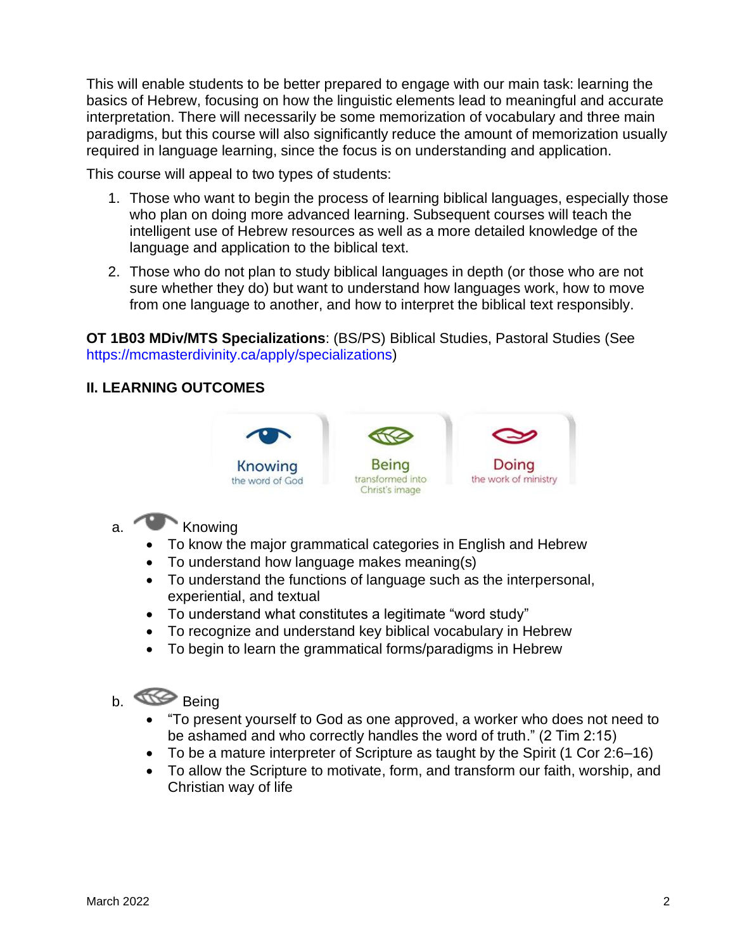This will enable students to be better prepared to engage with our main task: learning the basics of Hebrew, focusing on how the linguistic elements lead to meaningful and accurate interpretation. There will necessarily be some memorization of vocabulary and three main paradigms, but this course will also significantly reduce the amount of memorization usually required in language learning, since the focus is on understanding and application.

This course will appeal to two types of students:

- 1. Those who want to begin the process of learning biblical languages, especially those who plan on doing more advanced learning. Subsequent courses will teach the intelligent use of Hebrew resources as well as a more detailed knowledge of the language and application to the biblical text.
- 2. Those who do not plan to study biblical languages in depth (or those who are not sure whether they do) but want to understand how languages work, how to move from one language to another, and how to interpret the biblical text responsibly.

**OT 1B03 MDiv/MTS Specializations**: (BS/PS) Biblical Studies, Pastoral Studies (See https://mcmasterdivinity.ca/apply/specializations)

## **II. LEARNING OUTCOMES**



- a. Knowing
	- To know the major grammatical categories in English and Hebrew
	- To understand how language makes meaning(s)
	- To understand the functions of language such as the interpersonal, experiential, and textual
	- To understand what constitutes a legitimate "word study"
	- To recognize and understand key biblical vocabulary in Hebrew
	- To begin to learn the grammatical forms/paradigms in Hebrew

# b. **Being**

- "To present yourself to God as one approved, a worker who does not need to be ashamed and who correctly handles the word of truth." (2 Tim 2:15)
- To be a mature interpreter of Scripture as taught by the Spirit (1 Cor 2:6–16)
- To allow the Scripture to motivate, form, and transform our faith, worship, and Christian way of life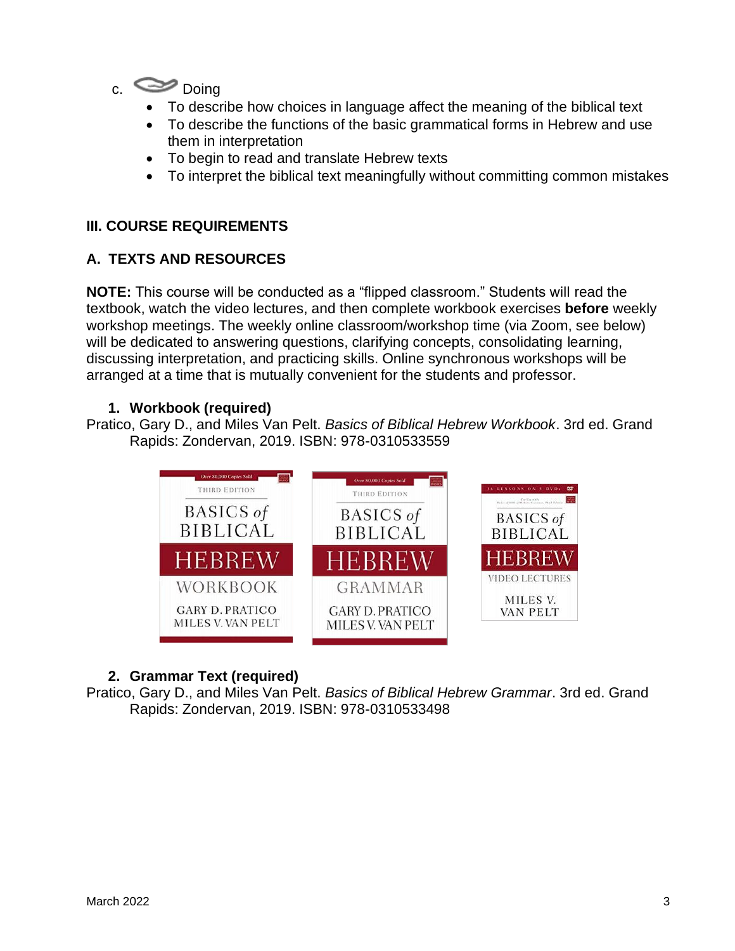

- To describe how choices in language affect the meaning of the biblical text
- To describe the functions of the basic grammatical forms in Hebrew and use them in interpretation
- To begin to read and translate Hebrew texts
- To interpret the biblical text meaningfully without committing common mistakes

# **III. COURSE REQUIREMENTS**

#### **A. TEXTS AND RESOURCES**

**NOTE:** This course will be conducted as a "flipped classroom." Students will read the textbook, watch the video lectures, and then complete workbook exercises **before** weekly workshop meetings. The weekly online classroom/workshop time (via Zoom, see below) will be dedicated to answering questions, clarifying concepts, consolidating learning, discussing interpretation, and practicing skills. Online synchronous workshops will be arranged at a time that is mutually convenient for the students and professor.

## **1. Workbook (required)**

Pratico, Gary D., and Miles Van Pelt. *Basics of Biblical Hebrew Workbook*. 3rd ed. Grand Rapids: Zondervan, 2019. ISBN: 978-0310533559



# **2. Grammar Text (required)**

Pratico, Gary D., and Miles Van Pelt. *Basics of Biblical Hebrew Grammar*. 3rd ed. Grand Rapids: Zondervan, 2019. ISBN: 978-0310533498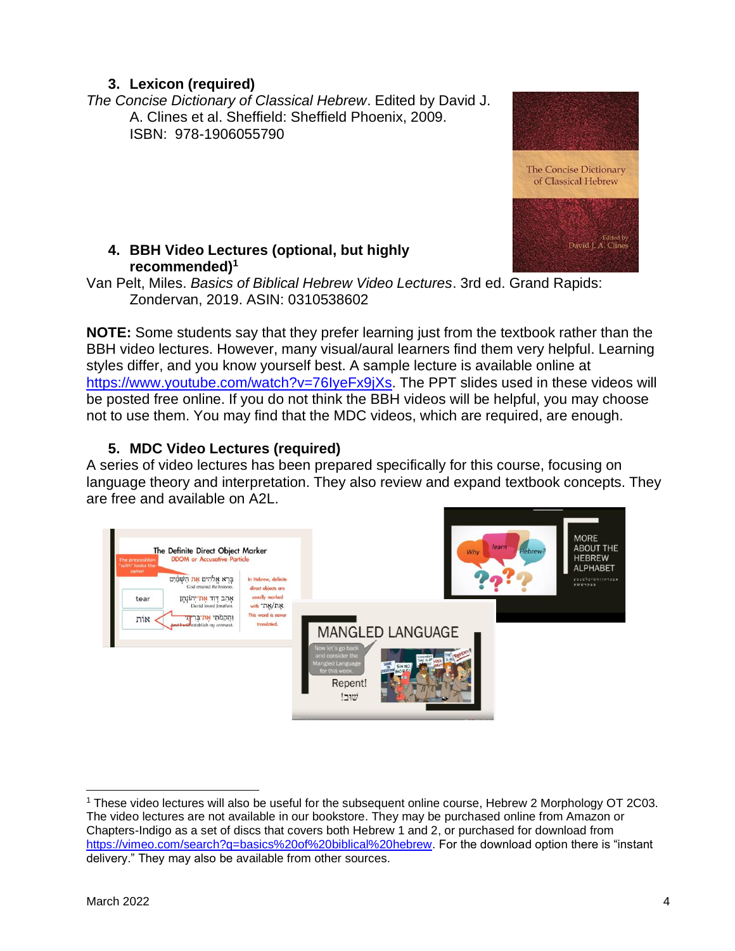# **3. Lexicon (required)**

*The Concise Dictionary of Classical Hebrew*. Edited by David J. A. Clines et al. Sheffield: Sheffield Phoenix, 2009. ISBN: 978-1906055790

## **4. BBH Video Lectures (optional, but highly recommended)<sup>1</sup>**

Van Pelt, Miles. *Basics of Biblical Hebrew Video Lectures*. 3rd ed. Grand Rapids: Zondervan, 2019. ASIN: 0310538602

**NOTE:** Some students say that they prefer learning just from the textbook rather than the BBH video lectures. However, many visual/aural learners find them very helpful. Learning styles differ, and you know yourself best. A sample lecture is available online at [https://www.youtube.com/watch?v=76IyeFx9jXs.](https://www.youtube.com/watch?v=76IyeFx9jXs) The PPT slides used in these videos will be posted free online. If you do not think the BBH videos will be helpful, you may choose not to use them. You may find that the MDC videos, which are required, are enough.

# **5. MDC Video Lectures (required)**

A series of video lectures has been prepared specifically for this course, focusing on language theory and interpretation. They also review and expand textbook concepts. They are free and available on A2L.





<sup>&</sup>lt;sup>1</sup> These video lectures will also be useful for the subsequent online course, Hebrew 2 Morphology OT 2C03. The video lectures are not available in our bookstore. They may be purchased online from Amazon or Chapters-Indigo as a set of discs that covers both Hebrew 1 and 2, or purchased for download from [https://vimeo.com/search?q=basics%20of%20biblical%20hebrew.](https://vimeo.com/search?q=basics%20of%20biblical%20hebrew) For the download option there is "instant delivery." They may also be available from other sources.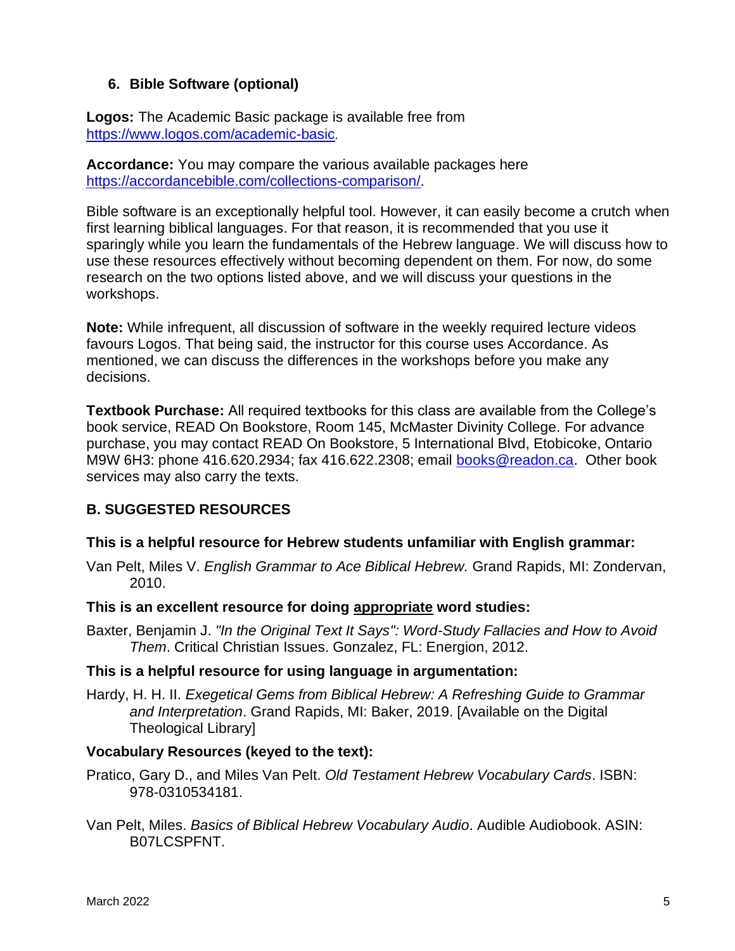# **6. Bible Software (optional)**

**Logos:** The Academic Basic package is available free from <https://www.logos.com/academic-basic>.

**Accordance:** You may compare the various available packages here [https://accordancebible.com/collections-comparison/.](https://accordancebible.com/collections-comparison/)

Bible software is an exceptionally helpful tool. However, it can easily become a crutch when first learning biblical languages. For that reason, it is recommended that you use it sparingly while you learn the fundamentals of the Hebrew language. We will discuss how to use these resources effectively without becoming dependent on them. For now, do some research on the two options listed above, and we will discuss your questions in the workshops.

**Note:** While infrequent, all discussion of software in the weekly required lecture videos favours Logos. That being said, the instructor for this course uses Accordance. As mentioned, we can discuss the differences in the workshops before you make any decisions.

**Textbook Purchase:** All required textbooks for this class are available from the College's book service, READ On Bookstore, Room 145, McMaster Divinity College. For advance purchase, you may contact READ On Bookstore, 5 International Blvd, Etobicoke, Ontario M9W 6H3: phone 416.620.2934; fax 416.622.2308; email [books@readon.ca.](mailto:books@readon.ca) Other book services may also carry the texts.

# **B. SUGGESTED RESOURCES**

#### **This is a helpful resource for Hebrew students unfamiliar with English grammar:**

Van Pelt, Miles V. *English Grammar to Ace Biblical Hebrew.* Grand Rapids, MI: Zondervan, 2010.

#### **This is an excellent resource for doing appropriate word studies:**

Baxter, Benjamin J. *"In the Original Text It Says": Word-Study Fallacies and How to Avoid Them*. Critical Christian Issues. Gonzalez, FL: Energion, 2012.

#### **This is a helpful resource for using language in argumentation:**

Hardy, H. H. II. *Exegetical Gems from Biblical Hebrew: A Refreshing Guide to Grammar and Interpretation*. Grand Rapids, MI: Baker, 2019. [Available on the Digital Theological Library]

#### **Vocabulary Resources (keyed to the text):**

- Pratico, Gary D., and Miles Van Pelt. *Old Testament Hebrew Vocabulary Cards*. ISBN: 978-0310534181.
- Van Pelt, Miles. *Basics of Biblical Hebrew Vocabulary Audio*. Audible Audiobook. ASIN: B07LCSPFNT.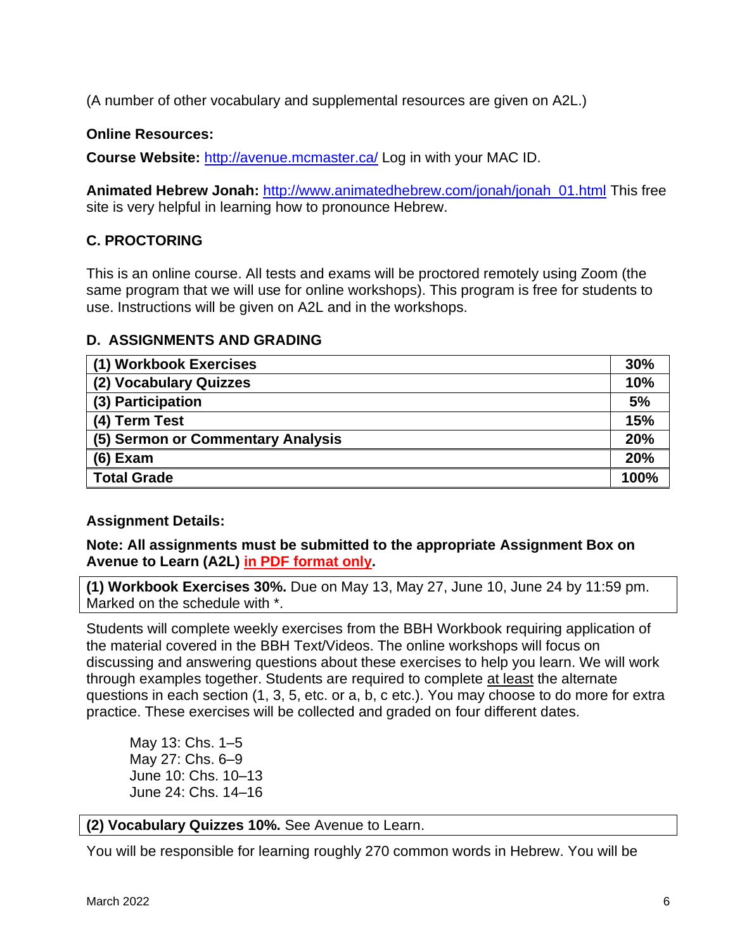(A number of other vocabulary and supplemental resources are given on A2L.)

#### **Online Resources:**

**Course Website:** <http://avenue.mcmaster.ca/> Log in with your MAC ID.

**Animated Hebrew Jonah:** [http://www.animatedhebrew.com/jonah/jonah\\_01.html](http://www.animatedhebrew.com/jonah/jonah_01.html) This free site is very helpful in learning how to pronounce Hebrew.

# **C. PROCTORING**

This is an online course. All tests and exams will be proctored remotely using Zoom (the same program that we will use for online workshops). This program is free for students to use. Instructions will be given on A2L and in the workshops.

## **D. ASSIGNMENTS AND GRADING**

| (1) Workbook Exercises            | 30% |  |  |
|-----------------------------------|-----|--|--|
| (2) Vocabulary Quizzes            | 10% |  |  |
| (3) Participation                 | 5%  |  |  |
| (4) Term Test                     | 15% |  |  |
| (5) Sermon or Commentary Analysis |     |  |  |
| $(6)$ Exam                        |     |  |  |
| <b>Total Grade</b>                |     |  |  |

# **Assignment Details:**

**Note: All assignments must be submitted to the appropriate Assignment Box on Avenue to Learn (A2L) in PDF format only.** 

**(1) Workbook Exercises 30%.** Due on May 13, May 27, June 10, June 24 by 11:59 pm. Marked on the schedule with \*.

Students will complete weekly exercises from the BBH Workbook requiring application of the material covered in the BBH Text/Videos. The online workshops will focus on discussing and answering questions about these exercises to help you learn. We will work through examples together. Students are required to complete at least the alternate questions in each section (1, 3, 5, etc. or a, b, c etc.). You may choose to do more for extra practice. These exercises will be collected and graded on four different dates.

May 13: Chs. 1–5 May 27: Chs. 6–9 June 10: Chs. 10–13 June 24: Chs. 14–16

#### **(2) Vocabulary Quizzes 10%.** See Avenue to Learn.

You will be responsible for learning roughly 270 common words in Hebrew. You will be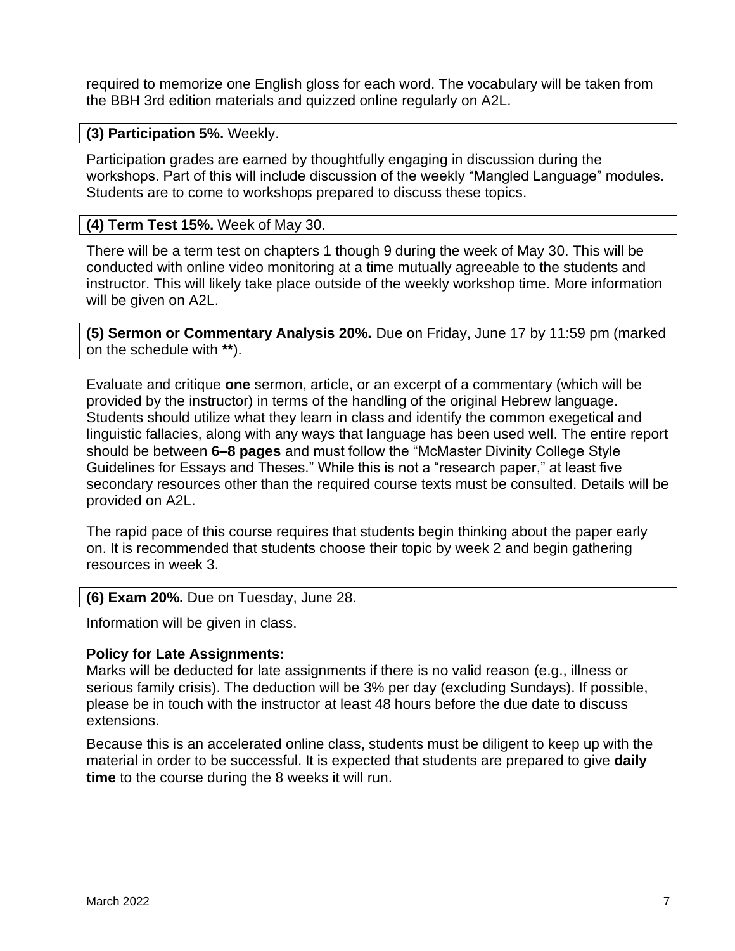required to memorize one English gloss for each word. The vocabulary will be taken from the BBH 3rd edition materials and quizzed online regularly on A2L.

#### **(3) Participation 5%.** Weekly.

Participation grades are earned by thoughtfully engaging in discussion during the workshops. Part of this will include discussion of the weekly "Mangled Language" modules. Students are to come to workshops prepared to discuss these topics.

#### **(4) Term Test 15%.** Week of May 30.

There will be a term test on chapters 1 though 9 during the week of May 30. This will be conducted with online video monitoring at a time mutually agreeable to the students and instructor. This will likely take place outside of the weekly workshop time. More information will be given on A2L.

**(5) Sermon or Commentary Analysis 20%.** Due on Friday, June 17 by 11:59 pm (marked on the schedule with **\*\***).

Evaluate and critique **one** sermon, article, or an excerpt of a commentary (which will be provided by the instructor) in terms of the handling of the original Hebrew language. Students should utilize what they learn in class and identify the common exegetical and linguistic fallacies, along with any ways that language has been used well. The entire report should be between **6–8 pages** and must follow the "McMaster Divinity College Style Guidelines for Essays and Theses." While this is not a "research paper," at least five secondary resources other than the required course texts must be consulted. Details will be provided on A2L.

The rapid pace of this course requires that students begin thinking about the paper early on. It is recommended that students choose their topic by week 2 and begin gathering resources in week 3.

#### **(6) Exam 20%.** Due on Tuesday, June 28.

Information will be given in class.

#### **Policy for Late Assignments:**

Marks will be deducted for late assignments if there is no valid reason (e.g., illness or serious family crisis). The deduction will be 3% per day (excluding Sundays). If possible, please be in touch with the instructor at least 48 hours before the due date to discuss extensions.

Because this is an accelerated online class, students must be diligent to keep up with the material in order to be successful. It is expected that students are prepared to give **daily time** to the course during the 8 weeks it will run.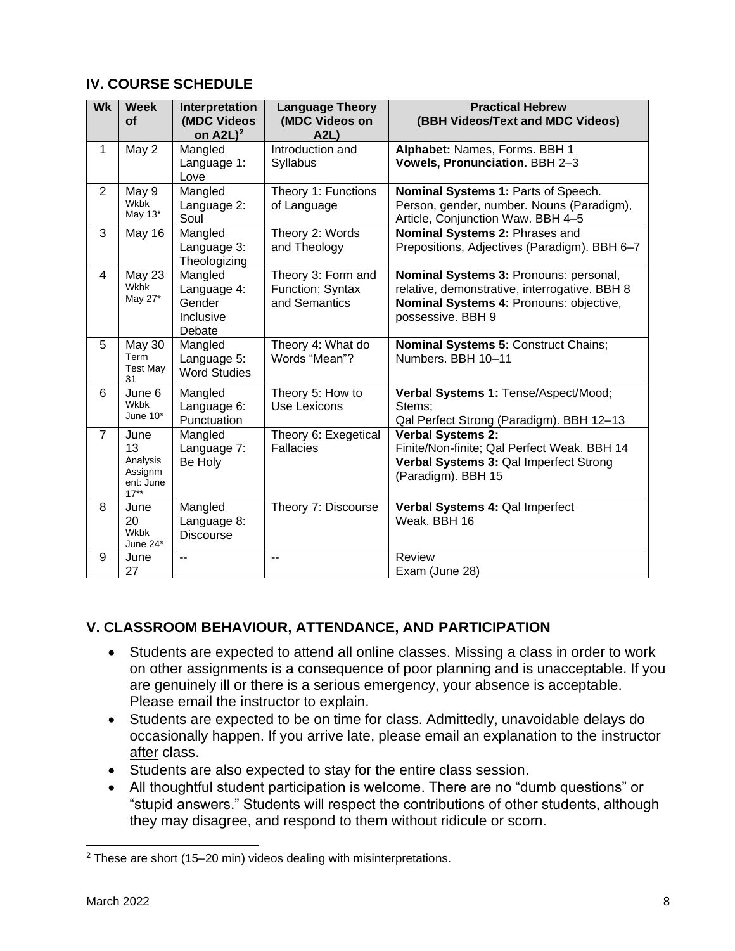# **IV. COURSE SCHEDULE**

| <b>Wk</b>      | <b>Week</b><br><b>of</b>                                 | Interpretation<br>(MDC Videos<br>on $A2L$ <sup>2</sup>  | <b>Language Theory</b><br>(MDC Videos on<br>A2L         | <b>Practical Hebrew</b><br>(BBH Videos/Text and MDC Videos)                                                                                             |
|----------------|----------------------------------------------------------|---------------------------------------------------------|---------------------------------------------------------|---------------------------------------------------------------------------------------------------------------------------------------------------------|
| $\mathbf{1}$   | May 2                                                    | Mangled<br>Language 1:<br>Love                          | Introduction and<br>Syllabus                            | Alphabet: Names, Forms. BBH 1<br>Vowels, Pronunciation. BBH 2-3                                                                                         |
| $\overline{2}$ | May 9<br>Wkbk<br>May 13*                                 | Mangled<br>Language 2:<br>Soul                          | Theory 1: Functions<br>of Language                      | Nominal Systems 1: Parts of Speech.<br>Person, gender, number. Nouns (Paradigm),<br>Article, Conjunction Waw. BBH 4-5                                   |
| 3              | May 16                                                   | Mangled<br>Language 3:<br>Theologizing                  | Theory 2: Words<br>and Theology                         | Nominal Systems 2: Phrases and<br>Prepositions, Adjectives (Paradigm). BBH 6-7                                                                          |
| $\overline{4}$ | May 23<br><b>Wkbk</b><br>May 27*                         | Mangled<br>Language 4:<br>Gender<br>Inclusive<br>Debate | Theory 3: Form and<br>Function; Syntax<br>and Semantics | Nominal Systems 3: Pronouns: personal,<br>relative, demonstrative, interrogative. BBH 8<br>Nominal Systems 4: Pronouns: objective,<br>possessive. BBH 9 |
| 5              | May 30<br>Term<br><b>Test May</b><br>31                  | Mangled<br>Language 5:<br><b>Word Studies</b>           | Theory 4: What do<br>Words "Mean"?                      | Nominal Systems 5: Construct Chains;<br>Numbers, BBH 10-11                                                                                              |
| 6              | June 6<br><b>Wkbk</b><br>June $10*$                      | Mangled<br>Language 6:<br>Punctuation                   | Theory 5: How to<br>Use Lexicons                        | Verbal Systems 1: Tense/Aspect/Mood;<br>Stems;<br>Qal Perfect Strong (Paradigm). BBH 12-13                                                              |
| $\overline{7}$ | June<br>13<br>Analysis<br>Assignm<br>ent: June<br>$17**$ | Mangled<br>Language 7:<br>Be Holy                       | Theory 6: Exegetical<br><b>Fallacies</b>                | <b>Verbal Systems 2:</b><br>Finite/Non-finite; Qal Perfect Weak. BBH 14<br>Verbal Systems 3: Qal Imperfect Strong<br>(Paradigm). BBH 15                 |
| 8              | June<br>20<br><b>Wkbk</b><br>June 24*                    | Mangled<br>Language 8:<br><b>Discourse</b>              | Theory 7: Discourse                                     | Verbal Systems 4: Qal Imperfect<br>Weak, BBH 16                                                                                                         |
| 9              | June<br>27                                               | --                                                      | $-$                                                     | Review<br>Exam (June 28)                                                                                                                                |

# **V. CLASSROOM BEHAVIOUR, ATTENDANCE, AND PARTICIPATION**

- Students are expected to attend all online classes. Missing a class in order to work on other assignments is a consequence of poor planning and is unacceptable. If you are genuinely ill or there is a serious emergency, your absence is acceptable. Please email the instructor to explain.
- Students are expected to be on time for class. Admittedly, unavoidable delays do occasionally happen. If you arrive late, please email an explanation to the instructor after class.
- Students are also expected to stay for the entire class session.
- All thoughtful student participation is welcome. There are no "dumb questions" or "stupid answers." Students will respect the contributions of other students, although they may disagree, and respond to them without ridicule or scorn.

 $2$  These are short (15–20 min) videos dealing with misinterpretations.